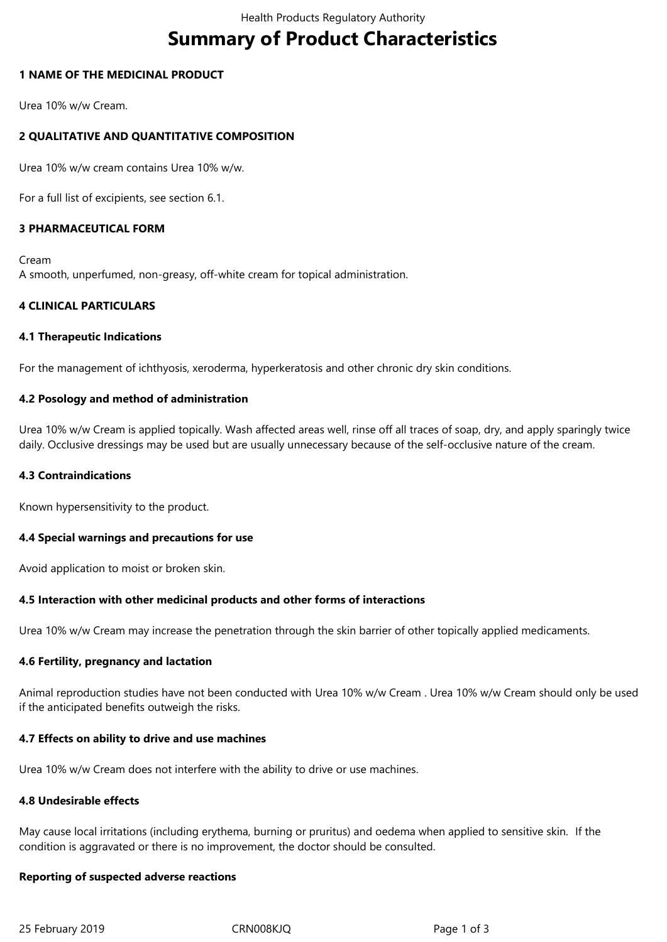# **Summary of Product Characteristics**

# **1 NAME OF THE MEDICINAL PRODUCT**

Urea 10% w/w Cream.

# **2 QUALITATIVE AND QUANTITATIVE COMPOSITION**

Urea 10% w/w cream contains Urea 10% w/w.

For a full list of excipients, see section 6.1.

# **3 PHARMACEUTICAL FORM**

Cream A smooth, unperfumed, non-greasy, off-white cream for topical administration.

# **4 CLINICAL PARTICULARS**

#### **4.1 Therapeutic Indications**

For the management of ichthyosis, xeroderma, hyperkeratosis and other chronic dry skin conditions.

#### **4.2 Posology and method of administration**

Urea 10% w/w Cream is applied topically. Wash affected areas well, rinse off all traces of soap, dry, and apply sparingly twice daily. Occlusive dressings may be used but are usually unnecessary because of the self-occlusive nature of the cream.

## **4.3 Contraindications**

Known hypersensitivity to the product.

#### **4.4 Special warnings and precautions for use**

Avoid application to moist or broken skin.

#### **4.5 Interaction with other medicinal products and other forms of interactions**

Urea 10% w/w Cream may increase the penetration through the skin barrier of other topically applied medicaments.

#### **4.6 Fertility, pregnancy and lactation**

Animal reproduction studies have not been conducted with Urea 10% w/w Cream . Urea 10% w/w Cream should only be used if the anticipated benefits outweigh the risks.

#### **4.7 Effects on ability to drive and use machines**

Urea 10% w/w Cream does not interfere with the ability to drive or use machines.

#### **4.8 Undesirable effects**

May cause local irritations (including erythema, burning or pruritus) and oedema when applied to sensitive skin. If the condition is aggravated or there is no improvement, the doctor should be consulted.

#### **Reporting of suspected adverse reactions**

25 February 2019 CRN008KJQ Page 1 of 3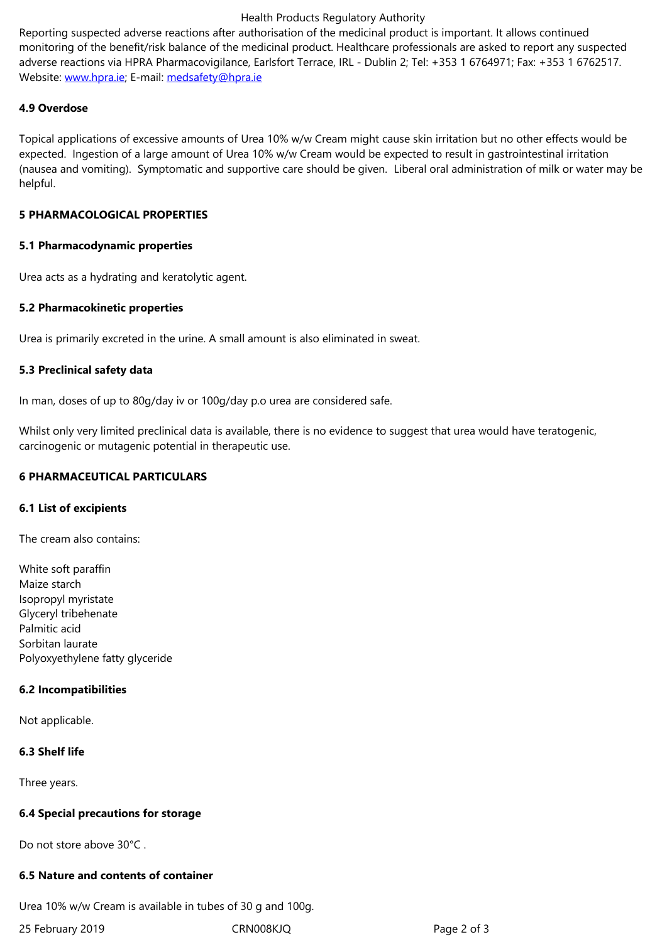adverse reactions via HPRA Pharmacovigilance, Earlsfort Terrace, IRL - Dublin 2; Tel: +353 1 6764971; Fax: +353 1 6762517. Website: www.hpra.ie; E-mail: medsafety@hpra.ie

# **4.9 Overdose**

Topical a[pplications o](http://www.hpra.ie/)f excess[ive amounts of Urea](mailto:medsafety@hpra.ie) 10% w/w Cream might cause skin irritation but no other effects would be expected. Ingestion of a large amount of Urea 10% w/w Cream would be expected to result in gastrointestinal irritation (nausea and vomiting). Symptomatic and supportive care should be given. Liberal oral administration of milk or water may be helpful.

## **5 PHARMACOLOGICAL PROPERTIES**

#### **5.1 Pharmacodynamic properties**

Urea acts as a hydrating and keratolytic agent.

# **5.2 Pharmacokinetic properties**

Urea is primarily excreted in the urine. A small amount is also eliminated in sweat.

# **5.3 Preclinical safety data**

In man, doses of up to 80g/day iv or 100g/day p.o urea are considered safe.

Whilst only very limited preclinical data is available, there is no evidence to suggest that urea would have teratogenic, carcinogenic or mutagenic potential in therapeutic use.

# **6 PHARMACEUTICAL PARTICULARS**

#### **6.1 List of excipients**

The cream also contains:

| White soft paraffin             |
|---------------------------------|
| Maize starch                    |
| Isopropyl myristate             |
| Glyceryl tribehenate            |
| Palmitic acid                   |
| Sorbitan laurate                |
| Polyoxyethylene fatty glyceride |

# **6.2 Incompatibilities**

Not applicable.

# **6.3 Shelf life**

Three years.

#### **6.4 Special precautions for storage**

Do not store above 30°C.

#### **6.5 Nature and contents of container**

Urea 10% w/w Cream is available in tubes of 30 g and 100g.